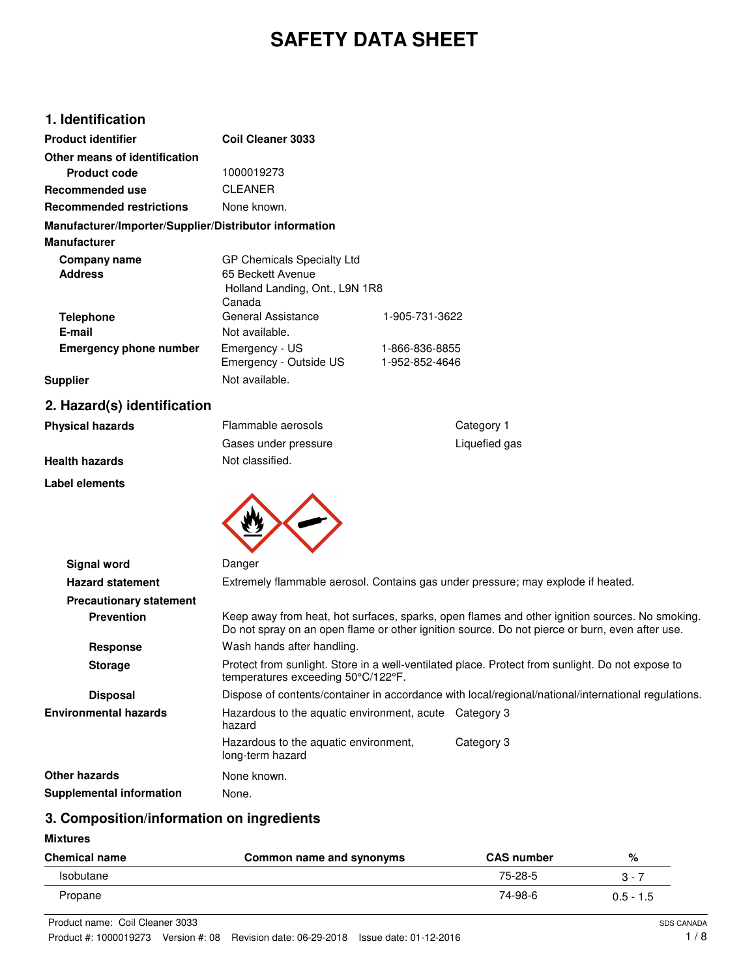# **SAFETY DATA SHEET**

# **1. Identification**

| <b>Product identifier</b>                              | Coil Cleaner 3033              |                |
|--------------------------------------------------------|--------------------------------|----------------|
| Other means of identification                          |                                |                |
| Product code                                           | 1000019273                     |                |
| Recommended use                                        | <b>CLEANER</b>                 |                |
| <b>Recommended restrictions</b>                        | None known.                    |                |
| Manufacturer/Importer/Supplier/Distributor information |                                |                |
| <b>Manufacturer</b>                                    |                                |                |
| Company name                                           | GP Chemicals Specialty Ltd     |                |
| <b>Address</b>                                         | 65 Beckett Avenue              |                |
|                                                        | Holland Landing, Ont., L9N 1R8 |                |
|                                                        | Canada                         |                |
| <b>Telephone</b>                                       | General Assistance             | 1-905-731-3622 |
| E-mail                                                 | Not available.                 |                |
| <b>Emergency phone number</b>                          | Emergency - US                 | 1-866-836-8855 |
|                                                        | Emergency - Outside US         | 1-952-852-4646 |
| <b>Supplier</b>                                        | Not available.                 |                |

# **2. Hazard(s) identification**

| <b>Physical hazards</b> | Flammable aerosols   | Category 1    |
|-------------------------|----------------------|---------------|
|                         | Gases under pressure | Liquefied gas |
| <b>Health hazards</b>   | Not classified.      |               |
| Label elements          |                      |               |



| <b>Signal word</b>              | Danger                                                                                                                                                                                           |            |
|---------------------------------|--------------------------------------------------------------------------------------------------------------------------------------------------------------------------------------------------|------------|
| <b>Hazard statement</b>         | Extremely flammable aerosol. Contains gas under pressure; may explode if heated.                                                                                                                 |            |
| <b>Precautionary statement</b>  |                                                                                                                                                                                                  |            |
| <b>Prevention</b>               | Keep away from heat, hot surfaces, sparks, open flames and other ignition sources. No smoking.<br>Do not spray on an open flame or other ignition source. Do not pierce or burn, even after use. |            |
| Response                        | Wash hands after handling.                                                                                                                                                                       |            |
| <b>Storage</b>                  | Protect from sunlight. Store in a well-ventilated place. Protect from sunlight. Do not expose to<br>temperatures exceeding 50°C/122°F.                                                           |            |
| <b>Disposal</b>                 | Dispose of contents/container in accordance with local/regional/national/international regulations.                                                                                              |            |
| Environmental hazards           | Hazardous to the aquatic environment, acute Category 3<br>hazard                                                                                                                                 |            |
|                                 | Hazardous to the aquatic environment,<br>long-term hazard                                                                                                                                        | Category 3 |
| Other hazards                   | None known.                                                                                                                                                                                      |            |
| <b>Supplemental information</b> | None.                                                                                                                                                                                            |            |

# **3. Composition/information on ingredients**

#### **Mixtures**

| <b>Chemical name</b> | Common name and synonyms | <b>CAS number</b> | %           |
|----------------------|--------------------------|-------------------|-------------|
| Isobutane            |                          | 75-28-5           | 3 - 7       |
| Propane              |                          | 74-98-6           | $0.5 - 1.5$ |

Product name: Coil Cleaner 3033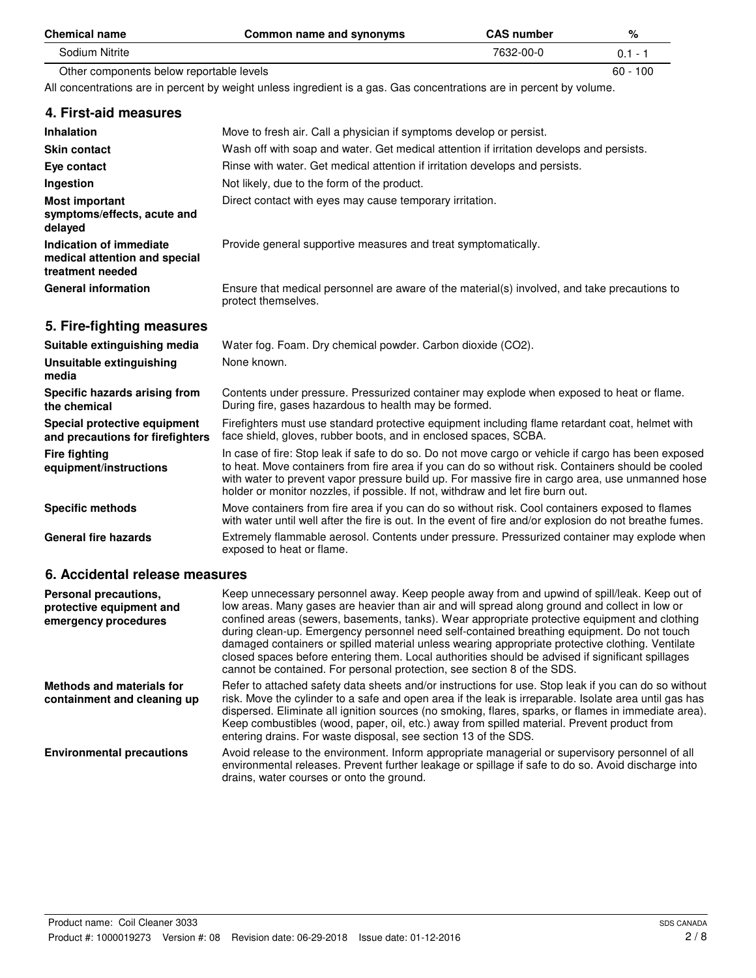| <b>Chemical name</b>                                                         | Common name and synonyms                                                                                                                                                                                                                                                                                                                                                                         | <b>CAS number</b> | %          |
|------------------------------------------------------------------------------|--------------------------------------------------------------------------------------------------------------------------------------------------------------------------------------------------------------------------------------------------------------------------------------------------------------------------------------------------------------------------------------------------|-------------------|------------|
| Sodium Nitrite                                                               |                                                                                                                                                                                                                                                                                                                                                                                                  | 7632-00-0         | $0.1 - 1$  |
| Other components below reportable levels                                     |                                                                                                                                                                                                                                                                                                                                                                                                  |                   | $60 - 100$ |
|                                                                              | All concentrations are in percent by weight unless ingredient is a gas. Gas concentrations are in percent by volume.                                                                                                                                                                                                                                                                             |                   |            |
| 4. First-aid measures                                                        |                                                                                                                                                                                                                                                                                                                                                                                                  |                   |            |
| <b>Inhalation</b>                                                            | Move to fresh air. Call a physician if symptoms develop or persist.                                                                                                                                                                                                                                                                                                                              |                   |            |
| <b>Skin contact</b>                                                          | Wash off with soap and water. Get medical attention if irritation develops and persists.                                                                                                                                                                                                                                                                                                         |                   |            |
| Eye contact                                                                  | Rinse with water. Get medical attention if irritation develops and persists.                                                                                                                                                                                                                                                                                                                     |                   |            |
| Ingestion                                                                    | Not likely, due to the form of the product.                                                                                                                                                                                                                                                                                                                                                      |                   |            |
| <b>Most important</b><br>symptoms/effects, acute and<br>delayed              | Direct contact with eyes may cause temporary irritation.                                                                                                                                                                                                                                                                                                                                         |                   |            |
| Indication of immediate<br>medical attention and special<br>treatment needed | Provide general supportive measures and treat symptomatically.                                                                                                                                                                                                                                                                                                                                   |                   |            |
| <b>General information</b>                                                   | Ensure that medical personnel are aware of the material(s) involved, and take precautions to<br>protect themselves.                                                                                                                                                                                                                                                                              |                   |            |
| 5. Fire-fighting measures                                                    |                                                                                                                                                                                                                                                                                                                                                                                                  |                   |            |
| Suitable extinguishing media                                                 | Water fog. Foam. Dry chemical powder. Carbon dioxide (CO2).                                                                                                                                                                                                                                                                                                                                      |                   |            |
| Unsuitable extinguishing<br>media                                            | None known.                                                                                                                                                                                                                                                                                                                                                                                      |                   |            |
| Specific hazards arising from<br>the chemical                                | Contents under pressure. Pressurized container may explode when exposed to heat or flame.<br>During fire, gases hazardous to health may be formed.                                                                                                                                                                                                                                               |                   |            |
| Special protective equipment<br>and precautions for firefighters             | Firefighters must use standard protective equipment including flame retardant coat, helmet with<br>face shield, gloves, rubber boots, and in enclosed spaces, SCBA.                                                                                                                                                                                                                              |                   |            |
| <b>Fire fighting</b><br>equipment/instructions                               | In case of fire: Stop leak if safe to do so. Do not move cargo or vehicle if cargo has been exposed<br>to heat. Move containers from fire area if you can do so without risk. Containers should be cooled<br>with water to prevent vapor pressure build up. For massive fire in cargo area, use unmanned hose<br>holder or monitor nozzles, if possible. If not, withdraw and let fire burn out. |                   |            |
| <b>Specific methods</b>                                                      | Move containers from fire area if you can do so without risk. Cool containers exposed to flames<br>with water until well after the fire is out. In the event of fire and/or explosion do not breathe fumes.                                                                                                                                                                                      |                   |            |
| <b>General fire hazards</b>                                                  | Extremely flammable aerosol. Contents under pressure. Pressurized container may explode when<br>exposed to heat or flame.                                                                                                                                                                                                                                                                        |                   |            |
| 6. Accidental release measures                                               |                                                                                                                                                                                                                                                                                                                                                                                                  |                   |            |
| <b>Personal precautions.</b>                                                 | Keep unnecessary personnel away. Keep people away from and upwind of spill/leak. Keep out of                                                                                                                                                                                                                                                                                                     |                   |            |

| Personal precautions,<br>protective equipment and<br>emergency procedures | Keep unnecessary personnel away. Keep people away from and upwind of spill/leak. Keep out of<br>low areas. Many gases are heavier than air and will spread along ground and collect in low or<br>confined areas (sewers, basements, tanks). Wear appropriate protective equipment and clothing<br>during clean-up. Emergency personnel need self-contained breathing equipment. Do not touch<br>damaged containers or spilled material unless wearing appropriate protective clothing. Ventilate<br>closed spaces before entering them. Local authorities should be advised if significant spillages<br>cannot be contained. For personal protection, see section 8 of the SDS. |
|---------------------------------------------------------------------------|---------------------------------------------------------------------------------------------------------------------------------------------------------------------------------------------------------------------------------------------------------------------------------------------------------------------------------------------------------------------------------------------------------------------------------------------------------------------------------------------------------------------------------------------------------------------------------------------------------------------------------------------------------------------------------|
| Methods and materials for<br>containment and cleaning up                  | Refer to attached safety data sheets and/or instructions for use. Stop leak if you can do so without<br>risk. Move the cylinder to a safe and open area if the leak is irreparable. Isolate area until gas has<br>dispersed. Eliminate all ignition sources (no smoking, flares, sparks, or flames in immediate area).<br>Keep combustibles (wood, paper, oil, etc.) away from spilled material. Prevent product from<br>entering drains. For waste disposal, see section 13 of the SDS.                                                                                                                                                                                        |
| <b>Environmental precautions</b>                                          | Avoid release to the environment. Inform appropriate managerial or supervisory personnel of all<br>environmental releases. Prevent further leakage or spillage if safe to do so. Avoid discharge into<br>drains, water courses or onto the ground.                                                                                                                                                                                                                                                                                                                                                                                                                              |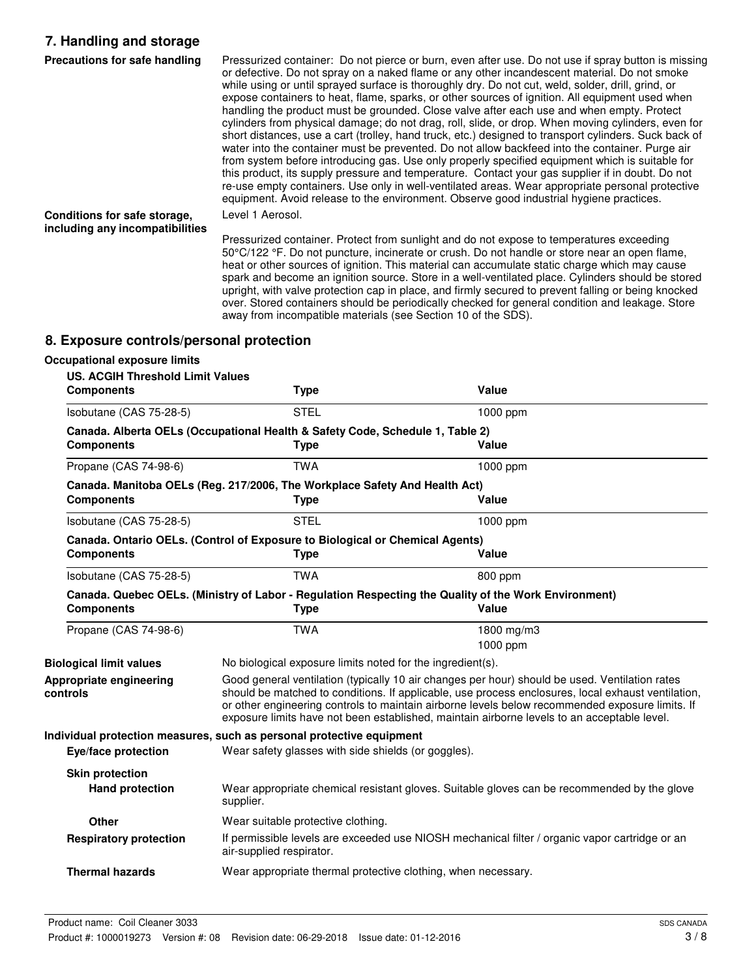# **7. Handling and storage**

| Precautions for safe handling                                   | Pressurized container: Do not pierce or burn, even after use. Do not use if spray button is missing<br>or defective. Do not spray on a naked flame or any other incandescent material. Do not smoke<br>while using or until sprayed surface is thoroughly dry. Do not cut, weld, solder, drill, grind, or<br>expose containers to heat, flame, sparks, or other sources of ignition. All equipment used when<br>handling the product must be grounded. Close valve after each use and when empty. Protect<br>cylinders from physical damage; do not drag, roll, slide, or drop. When moving cylinders, even for<br>short distances, use a cart (trolley, hand truck, etc.) designed to transport cylinders. Suck back of<br>water into the container must be prevented. Do not allow backfeed into the container. Purge air<br>from system before introducing gas. Use only properly specified equipment which is suitable for<br>this product, its supply pressure and temperature. Contact your gas supplier if in doubt. Do not<br>re-use empty containers. Use only in well-ventilated areas. Wear appropriate personal protective<br>equipment. Avoid release to the environment. Observe good industrial hygiene practices. |
|-----------------------------------------------------------------|-----------------------------------------------------------------------------------------------------------------------------------------------------------------------------------------------------------------------------------------------------------------------------------------------------------------------------------------------------------------------------------------------------------------------------------------------------------------------------------------------------------------------------------------------------------------------------------------------------------------------------------------------------------------------------------------------------------------------------------------------------------------------------------------------------------------------------------------------------------------------------------------------------------------------------------------------------------------------------------------------------------------------------------------------------------------------------------------------------------------------------------------------------------------------------------------------------------------------------------|
| Conditions for safe storage,<br>including any incompatibilities | Level 1 Aerosol.                                                                                                                                                                                                                                                                                                                                                                                                                                                                                                                                                                                                                                                                                                                                                                                                                                                                                                                                                                                                                                                                                                                                                                                                                  |
|                                                                 | Pressurized container. Protect from sunlight and do not expose to temperatures exceeding<br>50°C/122 °F. Do not puncture, incinerate or crush. Do not handle or store near an open flame,<br>heat or other sources of ignition. This material can accumulate static charge which may cause<br>spark and become an ignition source. Store in a well-ventilated place. Cylinders should be stored                                                                                                                                                                                                                                                                                                                                                                                                                                                                                                                                                                                                                                                                                                                                                                                                                                   |

away from incompatible materials (see Section 10 of the SDS).

upright, with valve protection cap in place, and firmly secured to prevent falling or being knocked over. Stored containers should be periodically checked for general condition and leakage. Store

**8. Exposure controls/personal protection**

| <b>Occupational exposure limits</b>                          |                                                                                                                                                                                                                                                                                                                                                                                                        |                                                                                                               |
|--------------------------------------------------------------|--------------------------------------------------------------------------------------------------------------------------------------------------------------------------------------------------------------------------------------------------------------------------------------------------------------------------------------------------------------------------------------------------------|---------------------------------------------------------------------------------------------------------------|
| <b>US. ACGIH Threshold Limit Values</b><br><b>Components</b> | <b>Type</b>                                                                                                                                                                                                                                                                                                                                                                                            | <b>Value</b>                                                                                                  |
| Isobutane (CAS 75-28-5)                                      | <b>STEL</b>                                                                                                                                                                                                                                                                                                                                                                                            | 1000 ppm                                                                                                      |
| <b>Components</b>                                            | Canada. Alberta OELs (Occupational Health & Safety Code, Schedule 1, Table 2)<br><b>Type</b>                                                                                                                                                                                                                                                                                                           | Value                                                                                                         |
| Propane (CAS 74-98-6)                                        | <b>TWA</b>                                                                                                                                                                                                                                                                                                                                                                                             | 1000 ppm                                                                                                      |
| <b>Components</b>                                            | Canada. Manitoba OELs (Reg. 217/2006, The Workplace Safety And Health Act)<br><b>Type</b>                                                                                                                                                                                                                                                                                                              | Value                                                                                                         |
| Isobutane (CAS 75-28-5)                                      | <b>STEL</b>                                                                                                                                                                                                                                                                                                                                                                                            | 1000 ppm                                                                                                      |
| <b>Components</b>                                            | Canada. Ontario OELs. (Control of Exposure to Biological or Chemical Agents)<br><b>Type</b>                                                                                                                                                                                                                                                                                                            | Value                                                                                                         |
| Isobutane (CAS 75-28-5)                                      | <b>TWA</b>                                                                                                                                                                                                                                                                                                                                                                                             | 800 ppm                                                                                                       |
| <b>Components</b>                                            | <b>Type</b>                                                                                                                                                                                                                                                                                                                                                                                            | Canada. Quebec OELs. (Ministry of Labor - Regulation Respecting the Quality of the Work Environment)<br>Value |
| Propane (CAS 74-98-6)                                        | <b>TWA</b>                                                                                                                                                                                                                                                                                                                                                                                             | 1800 mg/m3<br>1000 ppm                                                                                        |
| <b>Biological limit values</b>                               | No biological exposure limits noted for the ingredient(s).                                                                                                                                                                                                                                                                                                                                             |                                                                                                               |
| Appropriate engineering<br>controls                          | Good general ventilation (typically 10 air changes per hour) should be used. Ventilation rates<br>should be matched to conditions. If applicable, use process enclosures, local exhaust ventilation,<br>or other engineering controls to maintain airborne levels below recommended exposure limits. If<br>exposure limits have not been established, maintain airborne levels to an acceptable level. |                                                                                                               |
|                                                              | Individual protection measures, such as personal protective equipment                                                                                                                                                                                                                                                                                                                                  |                                                                                                               |
| Eye/face protection                                          | Wear safety glasses with side shields (or goggles).                                                                                                                                                                                                                                                                                                                                                    |                                                                                                               |
| <b>Skin protection</b><br><b>Hand protection</b>             | Wear appropriate chemical resistant gloves. Suitable gloves can be recommended by the glove<br>supplier.                                                                                                                                                                                                                                                                                               |                                                                                                               |
| <b>Other</b>                                                 | Wear suitable protective clothing.                                                                                                                                                                                                                                                                                                                                                                     |                                                                                                               |
| <b>Respiratory protection</b>                                | air-supplied respirator.                                                                                                                                                                                                                                                                                                                                                                               | If permissible levels are exceeded use NIOSH mechanical filter / organic vapor cartridge or an                |
| <b>Thermal hazards</b>                                       | Wear appropriate thermal protective clothing, when necessary.                                                                                                                                                                                                                                                                                                                                          |                                                                                                               |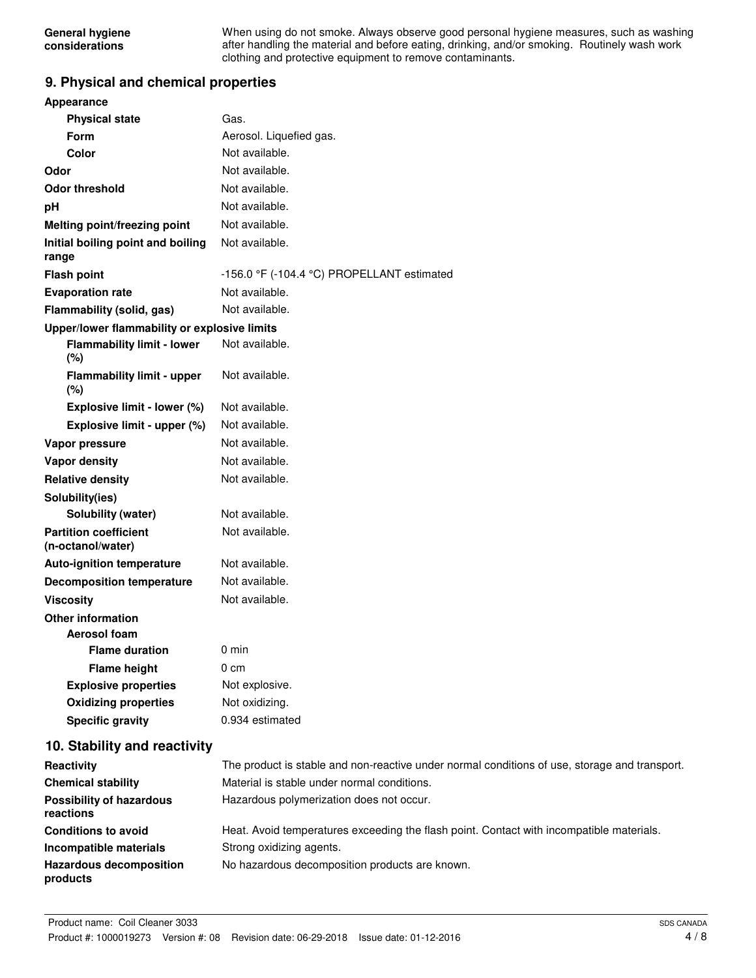When using do not smoke. Always observe good personal hygiene measures, such as washing after handling the material and before eating, drinking, and/or smoking. Routinely wash work clothing and protective equipment to remove contaminants.

#### **9. Physical and chemical properties**

| <b>Appearance</b>                                 |                                                              |
|---------------------------------------------------|--------------------------------------------------------------|
| <b>Physical state</b>                             | Gas.                                                         |
| Form                                              | Aerosol. Liquefied gas.                                      |
| Color                                             | Not available.                                               |
| Odor                                              | Not available.                                               |
| <b>Odor threshold</b>                             | Not available.                                               |
| рH                                                | Not available.                                               |
| Melting point/freezing point                      | Not available.                                               |
| Initial boiling point and boiling<br>range        | Not available.                                               |
| <b>Flash point</b>                                | -156.0 $\degree$ F (-104.4 $\degree$ C) PROPELLANT estimated |
| <b>Evaporation rate</b>                           | Not available.                                               |
| Flammability (solid, gas)                         | Not available.                                               |
| Upper/lower flammability or explosive limits      |                                                              |
| <b>Flammability limit - lower</b><br>(%)          | Not available.                                               |
| <b>Flammability limit - upper</b><br>$(\%)$       | Not available.                                               |
| Explosive limit - lower (%)                       | Not available.                                               |
| Explosive limit - upper (%)                       | Not available.                                               |
| Vapor pressure                                    | Not available.                                               |
| <b>Vapor density</b>                              | Not available.                                               |
| <b>Relative density</b>                           | Not available.                                               |
| Solubility(ies)                                   |                                                              |
| Solubility (water)                                | Not available.                                               |
| <b>Partition coefficient</b><br>(n-octanol/water) | Not available.                                               |
| <b>Auto-ignition temperature</b>                  | Not available.                                               |
| <b>Decomposition temperature</b>                  | Not available.                                               |
| <b>Viscosity</b>                                  | Not available.                                               |
| <b>Other information</b>                          |                                                              |
| Aerosol foam                                      |                                                              |
| <b>Flame duration</b>                             | $0 \text{ min}$                                              |
| <b>Flame height</b>                               | 0 cm                                                         |
| <b>Explosive properties</b>                       | Not explosive.                                               |
| <b>Oxidizing properties</b>                       | Not oxidizing.                                               |
| <b>Specific gravity</b>                           | 0.934 estimated                                              |
|                                                   |                                                              |

#### **10. Stability and reactivity**

| Reactivity                                   | The product is stable and non-reactive under normal conditions of use, storage and transport. |
|----------------------------------------------|-----------------------------------------------------------------------------------------------|
| <b>Chemical stability</b>                    | Material is stable under normal conditions.                                                   |
| <b>Possibility of hazardous</b><br>reactions | Hazardous polymerization does not occur.                                                      |
| <b>Conditions to avoid</b>                   | Heat. Avoid temperatures exceeding the flash point. Contact with incompatible materials.      |
| Incompatible materials                       | Strong oxidizing agents.                                                                      |
| <b>Hazardous decomposition</b><br>products   | No hazardous decomposition products are known.                                                |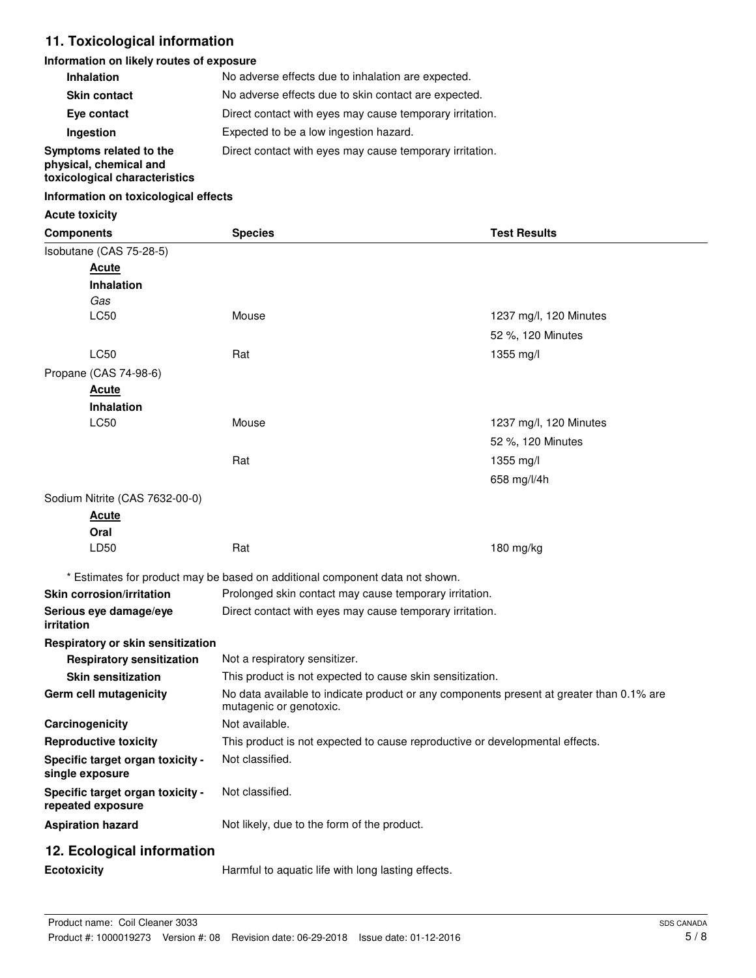# **11. Toxicological information**

#### **Information on likely routes of exposure**

| <b>Inhalation</b>                                                                  | No adverse effects due to inhalation are expected.       |
|------------------------------------------------------------------------------------|----------------------------------------------------------|
| <b>Skin contact</b>                                                                | No adverse effects due to skin contact are expected.     |
| Eye contact                                                                        | Direct contact with eyes may cause temporary irritation. |
| Ingestion                                                                          | Expected to be a low ingestion hazard.                   |
| Symptoms related to the<br>physical, chemical and<br>toxicological characteristics | Direct contact with eyes may cause temporary irritation. |

#### **Information on toxicological effects**

#### **Acute toxicity**

| <b>Components</b>                                     | <b>Species</b>                                                                                                      | <b>Test Results</b>                                                          |  |
|-------------------------------------------------------|---------------------------------------------------------------------------------------------------------------------|------------------------------------------------------------------------------|--|
| Isobutane (CAS 75-28-5)                               |                                                                                                                     |                                                                              |  |
| <u>Acute</u>                                          |                                                                                                                     |                                                                              |  |
| <b>Inhalation</b>                                     |                                                                                                                     |                                                                              |  |
| Gas                                                   |                                                                                                                     |                                                                              |  |
| LC50                                                  | Mouse                                                                                                               | 1237 mg/l, 120 Minutes                                                       |  |
|                                                       |                                                                                                                     | 52 %, 120 Minutes                                                            |  |
| LC50                                                  | Rat                                                                                                                 | 1355 mg/l                                                                    |  |
| Propane (CAS 74-98-6)                                 |                                                                                                                     |                                                                              |  |
| <b>Acute</b>                                          |                                                                                                                     |                                                                              |  |
| <b>Inhalation</b>                                     |                                                                                                                     |                                                                              |  |
| LC50                                                  | Mouse                                                                                                               | 1237 mg/l, 120 Minutes                                                       |  |
|                                                       |                                                                                                                     | 52 %, 120 Minutes                                                            |  |
|                                                       | Rat                                                                                                                 | 1355 mg/l                                                                    |  |
|                                                       |                                                                                                                     | 658 mg/l/4h                                                                  |  |
| Sodium Nitrite (CAS 7632-00-0)                        |                                                                                                                     |                                                                              |  |
| <u>Acute</u>                                          |                                                                                                                     |                                                                              |  |
| Oral                                                  |                                                                                                                     |                                                                              |  |
| LD50                                                  | Rat                                                                                                                 | 180 mg/kg                                                                    |  |
|                                                       |                                                                                                                     |                                                                              |  |
|                                                       | * Estimates for product may be based on additional component data not shown.                                        |                                                                              |  |
| <b>Skin corrosion/irritation</b>                      | Prolonged skin contact may cause temporary irritation.                                                              |                                                                              |  |
| Serious eye damage/eye<br>irritation                  | Direct contact with eyes may cause temporary irritation.                                                            |                                                                              |  |
| Respiratory or skin sensitization                     |                                                                                                                     |                                                                              |  |
| <b>Respiratory sensitization</b>                      | Not a respiratory sensitizer.                                                                                       |                                                                              |  |
| <b>Skin sensitization</b>                             | This product is not expected to cause skin sensitization.                                                           |                                                                              |  |
| Germ cell mutagenicity                                | No data available to indicate product or any components present at greater than 0.1% are<br>mutagenic or genotoxic. |                                                                              |  |
| Carcinogenicity                                       | Not available.                                                                                                      |                                                                              |  |
| <b>Reproductive toxicity</b>                          |                                                                                                                     | This product is not expected to cause reproductive or developmental effects. |  |
| Specific target organ toxicity -<br>single exposure   | Not classified.                                                                                                     |                                                                              |  |
| Specific target organ toxicity -<br>repeated exposure | Not classified.                                                                                                     |                                                                              |  |
| <b>Aspiration hazard</b>                              | Not likely, due to the form of the product.                                                                         |                                                                              |  |
| 12. Ecological information                            |                                                                                                                     |                                                                              |  |
| Ecotoxicity                                           | Harmful to aquatic life with long lasting effects.                                                                  |                                                                              |  |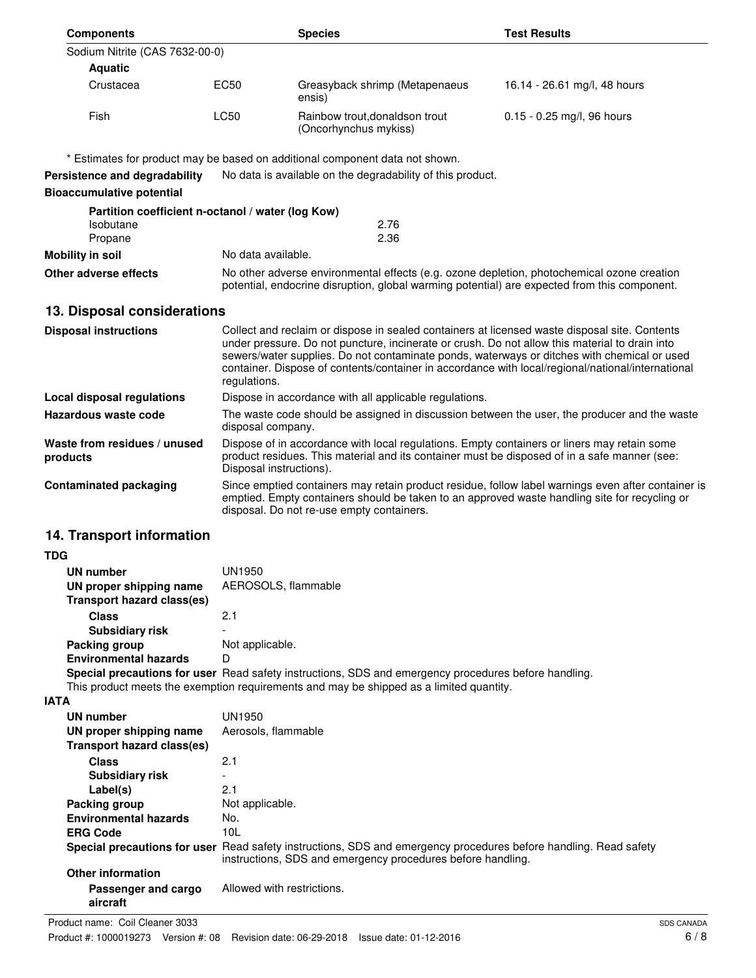| <b>Components</b>                                 |                                                                                                                                                                                                                                                                                                                                                                                                                     | <b>Species</b>                                                                                                                                                                                                         | <b>Test Results</b>          |  |  |
|---------------------------------------------------|---------------------------------------------------------------------------------------------------------------------------------------------------------------------------------------------------------------------------------------------------------------------------------------------------------------------------------------------------------------------------------------------------------------------|------------------------------------------------------------------------------------------------------------------------------------------------------------------------------------------------------------------------|------------------------------|--|--|
| Sodium Nitrite (CAS 7632-00-0)                    |                                                                                                                                                                                                                                                                                                                                                                                                                     |                                                                                                                                                                                                                        |                              |  |  |
| <b>Aquatic</b>                                    |                                                                                                                                                                                                                                                                                                                                                                                                                     |                                                                                                                                                                                                                        |                              |  |  |
| Crustacea                                         | <b>EC50</b>                                                                                                                                                                                                                                                                                                                                                                                                         | Greasyback shrimp (Metapenaeus<br>ensis)                                                                                                                                                                               | 16.14 - 26.61 mg/l, 48 hours |  |  |
| Fish                                              | LC50                                                                                                                                                                                                                                                                                                                                                                                                                | Rainbow trout, donaldson trout<br>(Oncorhynchus mykiss)                                                                                                                                                                | 0.15 - 0.25 mg/l, 96 hours   |  |  |
|                                                   |                                                                                                                                                                                                                                                                                                                                                                                                                     | * Estimates for product may be based on additional component data not shown.                                                                                                                                           |                              |  |  |
| Persistence and degradability                     |                                                                                                                                                                                                                                                                                                                                                                                                                     | No data is available on the degradability of this product.                                                                                                                                                             |                              |  |  |
| <b>Bioaccumulative potential</b>                  |                                                                                                                                                                                                                                                                                                                                                                                                                     |                                                                                                                                                                                                                        |                              |  |  |
| Partition coefficient n-octanol / water (log Kow) |                                                                                                                                                                                                                                                                                                                                                                                                                     |                                                                                                                                                                                                                        |                              |  |  |
| Isobutane                                         |                                                                                                                                                                                                                                                                                                                                                                                                                     | 2.76                                                                                                                                                                                                                   |                              |  |  |
| Propane                                           |                                                                                                                                                                                                                                                                                                                                                                                                                     | 2.36                                                                                                                                                                                                                   |                              |  |  |
| <b>Mobility in soil</b>                           | No data available.                                                                                                                                                                                                                                                                                                                                                                                                  |                                                                                                                                                                                                                        |                              |  |  |
| Other adverse effects                             |                                                                                                                                                                                                                                                                                                                                                                                                                     | No other adverse environmental effects (e.g. ozone depletion, photochemical ozone creation<br>potential, endocrine disruption, global warming potential) are expected from this component.                             |                              |  |  |
| 13. Disposal considerations                       |                                                                                                                                                                                                                                                                                                                                                                                                                     |                                                                                                                                                                                                                        |                              |  |  |
| <b>Disposal instructions</b>                      |                                                                                                                                                                                                                                                                                                                                                                                                                     |                                                                                                                                                                                                                        |                              |  |  |
|                                                   | Collect and reclaim or dispose in sealed containers at licensed waste disposal site. Contents<br>under pressure. Do not puncture, incinerate or crush. Do not allow this material to drain into<br>sewers/water supplies. Do not contaminate ponds, waterways or ditches with chemical or used<br>container. Dispose of contents/container in accordance with local/regional/national/international<br>regulations. |                                                                                                                                                                                                                        |                              |  |  |
| <b>Local disposal regulations</b>                 |                                                                                                                                                                                                                                                                                                                                                                                                                     | Dispose in accordance with all applicable regulations.                                                                                                                                                                 |                              |  |  |
| Hazardous waste code                              |                                                                                                                                                                                                                                                                                                                                                                                                                     | The waste code should be assigned in discussion between the user, the producer and the waste<br>disposal company.                                                                                                      |                              |  |  |
| Waste from residues / unused<br>products          |                                                                                                                                                                                                                                                                                                                                                                                                                     | Dispose of in accordance with local regulations. Empty containers or liners may retain some<br>product residues. This material and its container must be disposed of in a safe manner (see:<br>Disposal instructions). |                              |  |  |
| <b>Contaminated packaging</b>                     | Since emptied containers may retain product residue, follow label warnings even after container is<br>emptied. Empty containers should be taken to an approved waste handling site for recycling or<br>disposal. Do not re-use empty containers.                                                                                                                                                                    |                                                                                                                                                                                                                        |                              |  |  |
| 14. Transport information                         |                                                                                                                                                                                                                                                                                                                                                                                                                     |                                                                                                                                                                                                                        |                              |  |  |
| <b>TDG</b>                                        |                                                                                                                                                                                                                                                                                                                                                                                                                     |                                                                                                                                                                                                                        |                              |  |  |
| <b>UN number</b>                                  | UN1950                                                                                                                                                                                                                                                                                                                                                                                                              |                                                                                                                                                                                                                        |                              |  |  |
| UN proper shipping name                           | AEROSOLS, flammable                                                                                                                                                                                                                                                                                                                                                                                                 |                                                                                                                                                                                                                        |                              |  |  |
| <b>Transport hazard class(es)</b>                 |                                                                                                                                                                                                                                                                                                                                                                                                                     |                                                                                                                                                                                                                        |                              |  |  |
| <b>Class</b>                                      | 2.1                                                                                                                                                                                                                                                                                                                                                                                                                 |                                                                                                                                                                                                                        |                              |  |  |
| <b>Subsidiary risk</b>                            |                                                                                                                                                                                                                                                                                                                                                                                                                     |                                                                                                                                                                                                                        |                              |  |  |
| Packing group                                     | Not applicable.                                                                                                                                                                                                                                                                                                                                                                                                     |                                                                                                                                                                                                                        |                              |  |  |
| <b>Environmental hazards</b>                      |                                                                                                                                                                                                                                                                                                                                                                                                                     | D<br>Special precautions for user Read safety instructions, SDS and emergency procedures before handling.                                                                                                              |                              |  |  |
|                                                   |                                                                                                                                                                                                                                                                                                                                                                                                                     | This product meets the exemption requirements and may be shipped as a limited quantity.                                                                                                                                |                              |  |  |
| IATA                                              |                                                                                                                                                                                                                                                                                                                                                                                                                     |                                                                                                                                                                                                                        |                              |  |  |
| <b>UN number</b>                                  | <b>UN1950</b>                                                                                                                                                                                                                                                                                                                                                                                                       |                                                                                                                                                                                                                        |                              |  |  |
| UN proper shipping name                           | Aerosols, flammable                                                                                                                                                                                                                                                                                                                                                                                                 |                                                                                                                                                                                                                        |                              |  |  |
| <b>Transport hazard class(es)</b>                 |                                                                                                                                                                                                                                                                                                                                                                                                                     |                                                                                                                                                                                                                        |                              |  |  |
| <b>Class</b>                                      | 2.1                                                                                                                                                                                                                                                                                                                                                                                                                 |                                                                                                                                                                                                                        |                              |  |  |
| <b>Subsidiary risk</b>                            |                                                                                                                                                                                                                                                                                                                                                                                                                     |                                                                                                                                                                                                                        |                              |  |  |
| Label(s)                                          | 2.1                                                                                                                                                                                                                                                                                                                                                                                                                 |                                                                                                                                                                                                                        |                              |  |  |
| Packing group                                     | Not applicable.                                                                                                                                                                                                                                                                                                                                                                                                     |                                                                                                                                                                                                                        |                              |  |  |
| <b>Environmental hazards</b><br><b>ERG Code</b>   | 10L                                                                                                                                                                                                                                                                                                                                                                                                                 | No.                                                                                                                                                                                                                    |                              |  |  |
|                                                   |                                                                                                                                                                                                                                                                                                                                                                                                                     |                                                                                                                                                                                                                        |                              |  |  |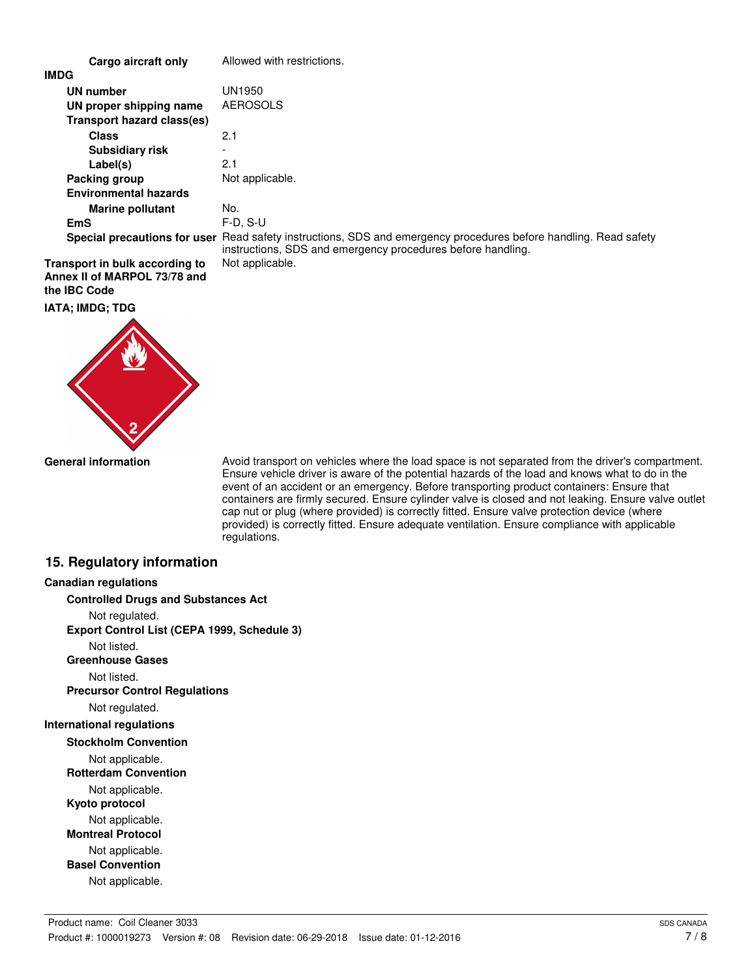| Cargo aircraft only            | Allowed with restrictions.                                                                                                                                                      |  |  |
|--------------------------------|---------------------------------------------------------------------------------------------------------------------------------------------------------------------------------|--|--|
| IMDG                           |                                                                                                                                                                                 |  |  |
| UN number                      | UN1950                                                                                                                                                                          |  |  |
| UN proper shipping name        | <b>AEROSOLS</b>                                                                                                                                                                 |  |  |
| Transport hazard class(es)     |                                                                                                                                                                                 |  |  |
| <b>Class</b>                   | 2.1                                                                                                                                                                             |  |  |
| <b>Subsidiary risk</b>         |                                                                                                                                                                                 |  |  |
| Label(s)                       | 2.1                                                                                                                                                                             |  |  |
| Packing group                  | Not applicable.                                                                                                                                                                 |  |  |
| <b>Environmental hazards</b>   |                                                                                                                                                                                 |  |  |
| <b>Marine pollutant</b>        | No.                                                                                                                                                                             |  |  |
| EmS                            | $F-D. S-U$                                                                                                                                                                      |  |  |
|                                | Special precautions for user Read safety instructions, SDS and emergency procedures before handling. Read safety<br>instructions, SDS and emergency procedures before handling. |  |  |
| Transport in bulk according to | Not applicable.                                                                                                                                                                 |  |  |
| Annex II of MARPOL 73/78 and   |                                                                                                                                                                                 |  |  |

#### **the IBC Code**

**IATA; IMDG; TDG**



Avoid transport on vehicles where the load space is not separated from the driver's compartment. Ensure vehicle driver is aware of the potential hazards of the load and knows what to do in the event of an accident or an emergency. Before transporting product containers: Ensure that containers are firmly secured. Ensure cylinder valve is closed and not leaking. Ensure valve outlet cap nut or plug (where provided) is correctly fitted. Ensure valve protection device (where provided) is correctly fitted. Ensure adequate ventilation. Ensure compliance with applicable regulations.

#### **15. Regulatory information**

# **Canadian regulations Controlled Drugs and Substances Act**

Not regulated. **Export Control List (CEPA 1999, Schedule 3)**

Not listed.

**Greenhouse Gases**

Not listed.

**Precursor Control Regulations**

Not regulated.

# **International regulations**

**Stockholm Convention**

Not applicable.

**Rotterdam Convention**

Not applicable.

**Kyoto protocol**

Not applicable. **Montreal Protocol**

Not applicable.

**Basel Convention**

Not applicable.